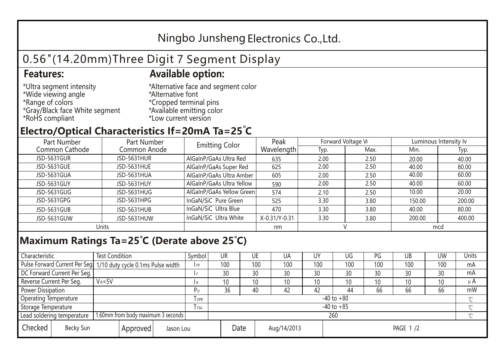## Ningbo Junsheng Electronics Co.,Ltd.

# 0.56"(14.20mm)Three Digit 7 Segment Display

### **Features: Available option:**

- \*Ultra segment intensity \*Wide viewing angle \*Range of colors \*Gray/Black face White segment \*RoHS compliant
- \*Alternative face and segment color \*Alternative font \*Cropped terminal pins \*Available emitting color \*Low current version

### **Electro/Optical Characteristics If=20mA Ta=25 C**

| Part Number<br>Part Number |              | <b>Emitting Color</b>     | Peak          | Forward Voltage VF |      | Luminous Intensity Iv |        |  |
|----------------------------|--------------|---------------------------|---------------|--------------------|------|-----------------------|--------|--|
| Common Cathode             | Common Anode |                           | Wavelength    | Typ.               | Max. | Min.                  | Typ.   |  |
| JSD-5631GUR                | JSD-5631HUR  | AlGaInP/GaAs Ultra Red    | 635           | 2.00               | 2.50 | 20.00                 | 40.00  |  |
| JSD-5631GUE                | JSD-5631HUE  | AlGaInP/GaAs Super Red    | 625           | 2.00               | 2.50 | 40.00                 | 80.00  |  |
| JSD-5631GUA                | JSD-5631HUA  | AlGaInP/GaAs Ultra Amber  | 605           | 2.00               | 2.50 | 40.00                 | 60.00  |  |
| JSD-5631GUY                | JSD-5631HUY  | AlGaInP/GaAs Ultra Yellow | 590           | 2.00               | 2.50 | 40.00                 | 60.00  |  |
| JSD-5631GUG                | JSD-5631HUG  | AlGaInP/GaAs Yellow Green | 574           | 2.10               | 2.50 | 10.00                 | 20.00  |  |
| JSD-5631GPG                | JSD-5631HPG  | InGaN/SiC Pure Green      | 525           | 3.30               | 3.80 | 150.00                | 200.00 |  |
| JSD-5631GUB                | JSD-5631HUB  | InGaN/SiC Ultra Blue      | 470           | 3.30               | 3.80 | 40.00                 | 80.00  |  |
| JSD-5631GUW                | JSD-5631HUW  | InGaN/SiC Ultra White     | X-0.31/Y-0.31 | 3.30               | 3.80 | 200.00                | 400.00 |  |
| Units                      |              |                           | nm            |                    |      | mcd                   |        |  |

### **Maximum Ratings Ta=25°C (Derate above 25°C)**

| Characteristic               |                                    | <b>Test Condition</b>                                            |              |                | Symbol         | UR              |      | UE  | UA          | UY  | UG       | PG  | UB       | <b>UW</b> | Units   |
|------------------------------|------------------------------------|------------------------------------------------------------------|--------------|----------------|----------------|-----------------|------|-----|-------------|-----|----------|-----|----------|-----------|---------|
|                              |                                    | Pulse Forward Current Per Seg. 1/10 duty cycle 0.1ms Pulse width |              |                | IFP            | 100             |      | 100 | 100         | 100 | 100      | 100 | 100      | 100       | mA      |
| DC Forward Current Per Seg.  |                                    |                                                                  |              |                |                | 30              |      | 30  | 30          | 30  | 30       | 30  | 30       | 30        | mA      |
| Reverse Current Per Seg.     |                                    | $V_R = 5V$                                                       |              |                | I R            | 10 <sup>°</sup> |      | 10  | 10          | 10  | 10       | 10  | 10       | 10        | $\mu$ A |
| <b>Power Dissipation</b>     |                                    |                                                                  |              |                | P <sub>D</sub> | 36              |      | 40  | 42          | 42  | 44       | 66  | 66       | 66        | mW      |
| <b>Operating Temperature</b> |                                    |                                                                  | $I$ OPR      | $-40$ to $+80$ |                |                 |      |     |             |     |          |     | $\gamma$ |           |         |
| Storage Temperature          |                                    |                                                                  | <b>I</b> TSG | $-40$ to $+85$ |                |                 |      |     |             |     |          |     |          |           |         |
| Lead soldering temperature   | 1.60mm from body maximum 3 seconds |                                                                  |              |                | 260            |                 |      |     |             |     |          |     |          |           |         |
| Checked<br>Becky Sun         |                                    |                                                                  | Approved     | Jason Lou      |                |                 | Date |     | Aug/14/2013 |     | PAGE 1/2 |     |          |           |         |